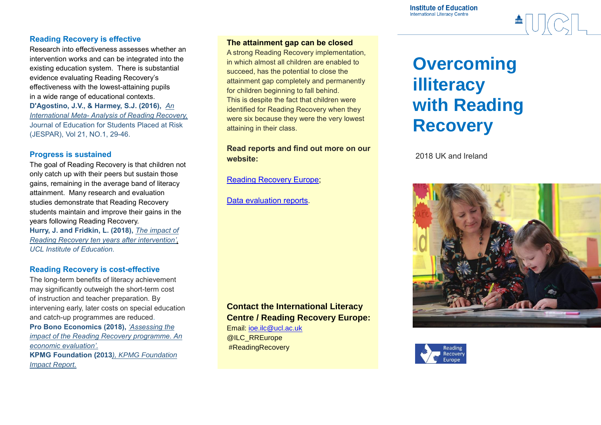**Institute of Education International Literacy Centre** 

### **Reading Recovery is effective**

Research into effectiveness assesses whether an intervention works and can be integrated into the existing education system. There is substantial evidence evaluating Reading Recovery's effectiveness with the lowest-attaining pupils in a wide range of educational contexts. **D'Agostino, J.V., & Harmey, S.J. (2016),** *[An](http://www.tandfonline.com/doi/pdf/10.1080/10824669.2015.1112746?needAccess=true) [International](http://www.tandfonline.com/doi/pdf/10.1080/10824669.2015.1112746?needAccess=true) Meta- Analysis of Reading Recovery,* Journal of Education for Students Placed at Risk (JESPAR), Vol 21, NO.1, 29-46.

#### **Progress is sustained**

The goal of Reading Recovery is that children not only catch up with their peers but sustain those gains, remaining in the average band of literacy attainment. Many research and evaluation studies demonstrate that Reading Recovery students maintain and improve their gains in the years following Reading Recovery. **Hurry, J. and Fridkin, L. (2018),** *The [impact](https://www.ucl.ac.uk/reading-recovery-europe/sites/reading-recovery-europe/files/the_impact_of_reading_recovery_ten_years_after_intervention_hurry_and_fridkin.pdf) of Reading Recovery ten years after [intervention',](https://www.ucl.ac.uk/reading-recovery-europe/sites/reading-recovery-europe/files/the_impact_of_reading_recovery_ten_years_after_intervention_hurry_and_fridkin.pdf)  UCL Institute of Education.*

#### **Reading Recovery is cost-effective**

The long-term benefits of literacy achievement may significantly outweigh the short-term cost of instruction and teacher preparation. By intervening early, later costs on special education and catch-up programmes are reduced. **Pro Bono Economics (2018),** *['Assessing](https://www.ucl.ac.uk/reading-recovery-europe/sites/reading-recovery-europe/files/pro_bono_economics_assessing_the_impact_of_reading_recovery_-_an_economic_analysis.pdf) the impact of the Reading Recovery [programme.](https://www.ucl.ac.uk/reading-recovery-europe/sites/reading-recovery-europe/files/pro_bono_economics_assessing_the_impact_of_reading_recovery_-_an_economic_analysis.pdf) An economic [evaluation'.](https://www.ucl.ac.uk/reading-recovery-europe/sites/reading-recovery-europe/files/pro_bono_economics_assessing_the_impact_of_reading_recovery_-_an_economic_analysis.pdf)* **KPMG Foundation (2013***), KPMG [Foundation](https://home.kpmg.com/content/dam/kpmg/pdf/2013/12/kpmg-foundation-impact-report-new.pdf) Impact [Report.](https://home.kpmg.com/content/dam/kpmg/pdf/2013/12/kpmg-foundation-impact-report-new.pdf)*

#### **The attainment gap can be closed**

A strong Reading Recovery implementation, in which almost all children are enabled to succeed, has the potential to close the attainment gap completely and permanently for children beginning to fall behind. This is despite the fact that children were identified for Reading Recovery when they were six because they were the very lowest attaining in their class.

# **Read reports and find out more on our website:**

[Reading Recovery Europe;](https://www.ucl.ac.uk/reading-recovery-europe/)

[Data evaluation reports.](https://www.ucl.ac.uk/reading-recovery-europe/)

# **Contact the International Literacy Centre / Reading Recovery Europe:**

Email: [ioe.ilc@ucl.ac.uk](mailto:ioe.ilc@ucl.ac.uk) @ILC\_RREurope #ReadingRecovery

# **Overcoming illiteracy with Reading Recovery**

2018 UK and Ireland